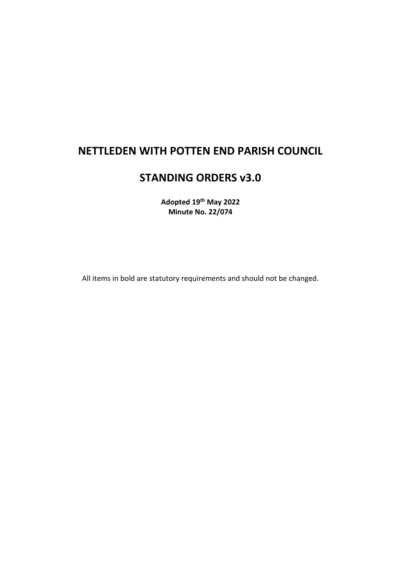# **NETTLEDEN WITH POTTEN END PARISH COUNCIL**

# **STANDING ORDERS v3.0**

**Adopted 19th May 2022 Minute No. 22/074**

All items in bold are statutory requirements and should not be changed.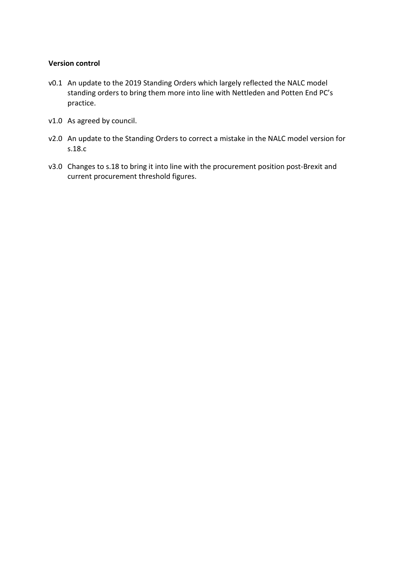#### **Version control**

- v0.1 An update to the 2019 Standing Orders which largely reflected the NALC model standing orders to bring them more into line with Nettleden and Potten End PC's practice.
- v1.0 As agreed by council.
- v2.0 An update to the Standing Orders to correct a mistake in the NALC model version for s.18.c
- v3.0 Changes to s.18 to bring it into line with the procurement position post-Brexit and current procurement threshold figures.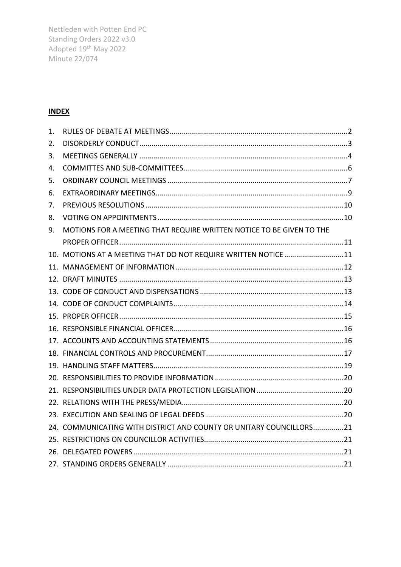## **INDEX**

| 1. |                                                                      |  |
|----|----------------------------------------------------------------------|--|
| 2. |                                                                      |  |
| 3. |                                                                      |  |
| 4. |                                                                      |  |
| 5. |                                                                      |  |
| 6. |                                                                      |  |
| 7. |                                                                      |  |
| 8. |                                                                      |  |
| 9. | MOTIONS FOR A MEETING THAT REQUIRE WRITTEN NOTICE TO BE GIVEN TO THE |  |
|    |                                                                      |  |
|    | 10. MOTIONS AT A MEETING THAT DO NOT REQUIRE WRITTEN NOTICE 11       |  |
|    |                                                                      |  |
|    |                                                                      |  |
|    |                                                                      |  |
|    |                                                                      |  |
|    |                                                                      |  |
|    |                                                                      |  |
|    |                                                                      |  |
|    |                                                                      |  |
|    |                                                                      |  |
|    |                                                                      |  |
|    |                                                                      |  |
|    |                                                                      |  |
|    |                                                                      |  |
|    | 24. COMMUNICATING WITH DISTRICT AND COUNTY OR UNITARY COUNCILLORS21  |  |
|    |                                                                      |  |
|    |                                                                      |  |
|    |                                                                      |  |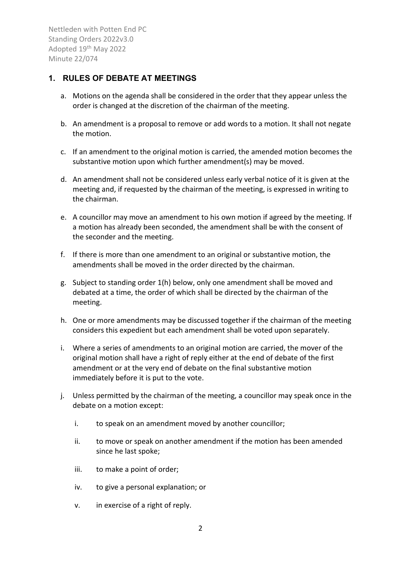#### <span id="page-4-0"></span>**1. RULES OF DEBATE AT MEETINGS**

- a. Motions on the agenda shall be considered in the order that they appear unless the order is changed at the discretion of the chairman of the meeting.
- b. An amendment is a proposal to remove or add words to a motion. It shall not negate the motion.
- c. If an amendment to the original motion is carried, the amended motion becomes the substantive motion upon which further amendment(s) may be moved.
- d. An amendment shall not be considered unless early verbal notice of it is given at the meeting and, if requested by the chairman of the meeting, is expressed in writing to the chairman.
- e. A councillor may move an amendment to his own motion if agreed by the meeting. If a motion has already been seconded, the amendment shall be with the consent of the seconder and the meeting.
- f. If there is more than one amendment to an original or substantive motion, the amendments shall be moved in the order directed by the chairman.
- g. Subject to standing order 1(h) below, only one amendment shall be moved and debated at a time, the order of which shall be directed by the chairman of the meeting.
- h. One or more amendments may be discussed together if the chairman of the meeting considers this expedient but each amendment shall be voted upon separately.
- i. Where a series of amendments to an original motion are carried, the mover of the original motion shall have a right of reply either at the end of debate of the first amendment or at the very end of debate on the final substantive motion immediately before it is put to the vote.
- j. Unless permitted by the chairman of the meeting, a councillor may speak once in the debate on a motion except:
	- i. to speak on an amendment moved by another councillor;
	- ii. to move or speak on another amendment if the motion has been amended since he last spoke;
	- iii. to make a point of order;
	- iv. to give a personal explanation; or
	- v. in exercise of a right of reply.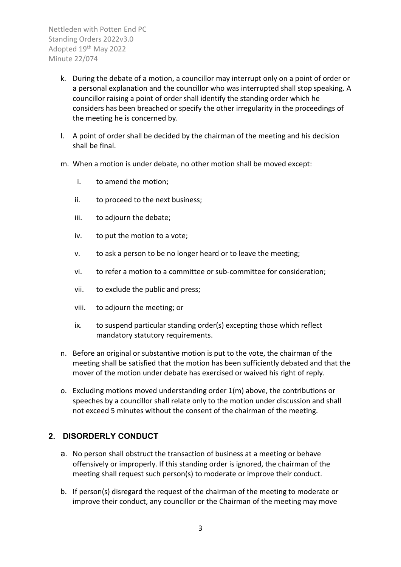- k. During the debate of a motion, a councillor may interrupt only on a point of order or a personal explanation and the councillor who was interrupted shall stop speaking. A councillor raising a point of order shall identify the standing order which he considers has been breached or specify the other irregularity in the proceedings of the meeting he is concerned by.
- l. A point of order shall be decided by the chairman of the meeting and his decision shall be final.
- m. When a motion is under debate, no other motion shall be moved except:
	- i. to amend the motion;
	- ii. to proceed to the next business;
	- iii. to adjourn the debate;
	- iv. to put the motion to a vote;
	- v. to ask a person to be no longer heard or to leave the meeting;
	- vi. to refer a motion to a committee or sub-committee for consideration;
	- vii. to exclude the public and press;
	- viii. to adjourn the meeting; or
	- ix. to suspend particular standing order(s) excepting those which reflect mandatory statutory requirements.
- n. Before an original or substantive motion is put to the vote, the chairman of the meeting shall be satisfied that the motion has been sufficiently debated and that the mover of the motion under debate has exercised or waived his right of reply.
- o. Excluding motions moved understanding order 1(m) above, the contributions or speeches by a councillor shall relate only to the motion under discussion and shall not exceed 5 minutes without the consent of the chairman of the meeting.

## <span id="page-5-0"></span>**2. DISORDERLY CONDUCT**

- a. No person shall obstruct the transaction of business at a meeting or behave offensively or improperly. If this standing order is ignored, the chairman of the meeting shall request such person(s) to moderate or improve their conduct.
- b. If person(s) disregard the request of the chairman of the meeting to moderate or improve their conduct, any councillor or the Chairman of the meeting may move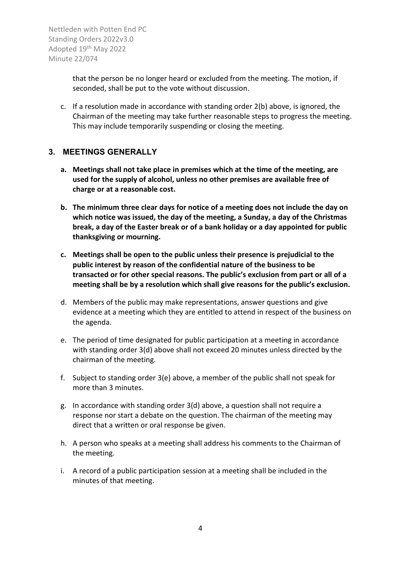> that the person be no longer heard or excluded from the meeting. The motion, if seconded, shall be put to the vote without discussion.

c. If a resolution made in accordance with standing order 2(b) above, is ignored, the Chairman of the meeting may take further reasonable steps to progress the meeting. This may include temporarily suspending or closing the meeting.

#### <span id="page-6-0"></span>**3. MEETINGS GENERALLY**

- **a. Meetings shall not take place in premises which at the time of the meeting, are used for the supply of alcohol, unless no other premises are available free of charge or at a reasonable cost.**
- **b. The minimum three clear days for notice of a meeting does not include the day on which notice was issued, the day of the meeting, a Sunday, a day of the Christmas break, a day of the Easter break or of a bank holiday or a day appointed for public thanksgiving or mourning.**
- **c. Meetings shall be open to the public unless their presence is prejudicial to the public interest by reason of the confidential nature of the business to be transacted or for other special reasons. The public's exclusion from part or all of a meeting shall be by a resolution which shall give reasons for the public's exclusion.**
- d. Members of the public may make representations, answer questions and give evidence at a meeting which they are entitled to attend in respect of the business on the agenda.
- e. The period of time designated for public participation at a meeting in accordance with standing order 3(d) above shall not exceed 20 minutes unless directed by the chairman of the meeting.
- f. Subject to standing order 3(e) above, a member of the public shall not speak for more than 3 minutes.
- g. In accordance with standing order 3(d) above, a question shall not require a response nor start a debate on the question. The chairman of the meeting may direct that a written or oral response be given.
- h. A person who speaks at a meeting shall address his comments to the Chairman of the meeting.
- i. A record of a public participation session at a meeting shall be included in the minutes of that meeting.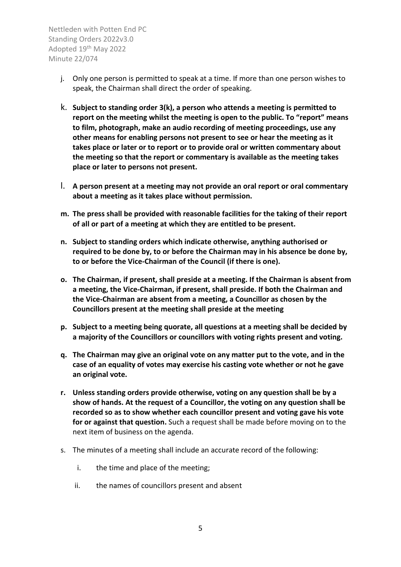- j. Only one person is permitted to speak at a time. If more than one person wishes to speak, the Chairman shall direct the order of speaking.
- k. **Subject to standing order 3(k), a person who attends a meeting is permitted to report on the meeting whilst the meeting is open to the public. To "report" means to film, photograph, make an audio recording of meeting proceedings, use any other means for enabling persons not present to see or hear the meeting as it takes place or later or to report or to provide oral or written commentary about the meeting so that the report or commentary is available as the meeting takes place or later to persons not present.**
- l. **A person present at a meeting may not provide an oral report or oral commentary about a meeting as it takes place without permission.**
- **m. The press shall be provided with reasonable facilities for the taking of their report of all or part of a meeting at which they are entitled to be present.**
- **n. Subject to standing orders which indicate otherwise, anything authorised or required to be done by, to or before the Chairman may in his absence be done by, to or before the Vice-Chairman of the Council (if there is one).**
- **o. The Chairman, if present, shall preside at a meeting. If the Chairman is absent from a meeting, the Vice-Chairman, if present, shall preside. If both the Chairman and the Vice-Chairman are absent from a meeting, a Councillor as chosen by the Councillors present at the meeting shall preside at the meeting**
- **p. Subject to a meeting being quorate, all questions at a meeting shall be decided by a majority of the Councillors or councillors with voting rights present and voting.**
- **q. The Chairman may give an original vote on any matter put to the vote, and in the case of an equality of votes may exercise his casting vote whether or not he gave an original vote.**
- **r. Unless standing orders provide otherwise, voting on any question shall be by a show of hands. At the request of a Councillor, the voting on any question shall be recorded so as to show whether each councillor present and voting gave his vote for or against that question.** Such a request shall be made before moving on to the next item of business on the agenda.
- s. The minutes of a meeting shall include an accurate record of the following:
	- i. the time and place of the meeting;
	- ii. the names of councillors present and absent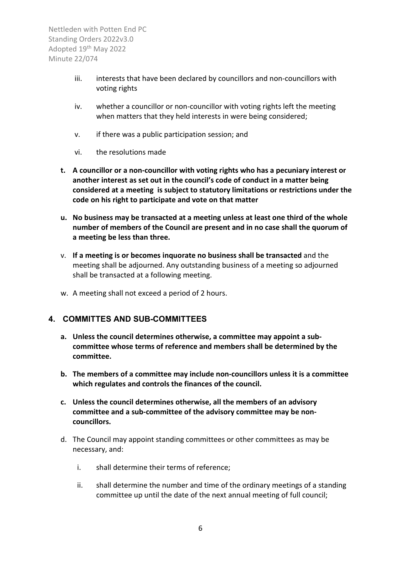- iii. interests that have been declared by councillors and non-councillors with voting rights
- iv. whether a councillor or non-councillor with voting rights left the meeting when matters that they held interests in were being considered;
- v. if there was a public participation session; and
- vi. the resolutions made
- **t. A councillor or a non-councillor with voting rights who has a pecuniary interest or another interest as set out in the council's code of conduct in a matter being considered at a meeting is subject to statutory limitations or restrictions under the code on his right to participate and vote on that matter**
- **u. No business may be transacted at a meeting unless at least one third of the whole number of members of the Council are present and in no case shall the quorum of a meeting be less than three.**
- v. **If a meeting is or becomes inquorate no business shall be transacted** and the meeting shall be adjourned. Any outstanding business of a meeting so adjourned shall be transacted at a following meeting.
- w. A meeting shall not exceed a period of 2 hours.

## <span id="page-8-0"></span>**4. COMMITTES AND SUB-COMMITTEES**

- **a. Unless the council determines otherwise, a committee may appoint a subcommittee whose terms of reference and members shall be determined by the committee.**
- **b. The members of a committee may include non-councillors unless it is a committee which regulates and controls the finances of the council.**
- **c. Unless the council determines otherwise, all the members of an advisory committee and a sub-committee of the advisory committee may be noncouncillors.**
- d. The Council may appoint standing committees or other committees as may be necessary, and:
	- i. shall determine their terms of reference;
	- ii. shall determine the number and time of the ordinary meetings of a standing committee up until the date of the next annual meeting of full council;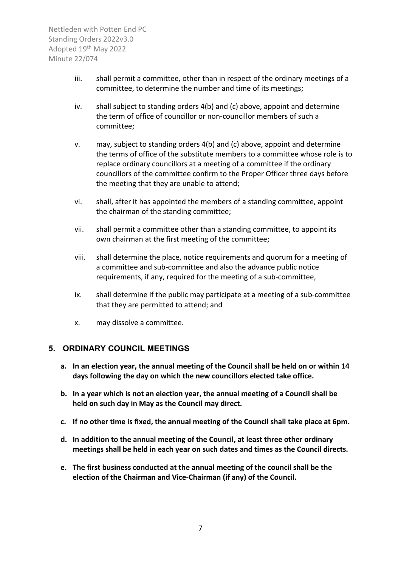- iii. shall permit a committee, other than in respect of the ordinary meetings of a committee, to determine the number and time of its meetings;
- iv. shall subject to standing orders 4(b) and (c) above, appoint and determine the term of office of councillor or non-councillor members of such a committee;
- v. may, subject to standing orders 4(b) and (c) above, appoint and determine the terms of office of the substitute members to a committee whose role is to replace ordinary councillors at a meeting of a committee if the ordinary councillors of the committee confirm to the Proper Officer three days before the meeting that they are unable to attend;
- vi. shall, after it has appointed the members of a standing committee, appoint the chairman of the standing committee;
- vii. shall permit a committee other than a standing committee, to appoint its own chairman at the first meeting of the committee;
- viii. shall determine the place, notice requirements and quorum for a meeting of a committee and sub-committee and also the advance public notice requirements, if any, required for the meeting of a sub-committee,
- ix. shall determine if the public may participate at a meeting of a sub-committee that they are permitted to attend; and
- x. may dissolve a committee.

#### <span id="page-9-0"></span>**5. ORDINARY COUNCIL MEETINGS**

- **a. In an election year, the annual meeting of the Council shall be held on or within 14 days following the day on which the new councillors elected take office.**
- **b. In a year which is not an election year, the annual meeting of a Council shall be held on such day in May as the Council may direct.**
- **c. If no other time is fixed, the annual meeting of the Council shall take place at 6pm.**
- **d. In addition to the annual meeting of the Council, at least three other ordinary meetings shall be held in each year on such dates and times as the Council directs.**
- **e. The first business conducted at the annual meeting of the council shall be the election of the Chairman and Vice-Chairman (if any) of the Council.**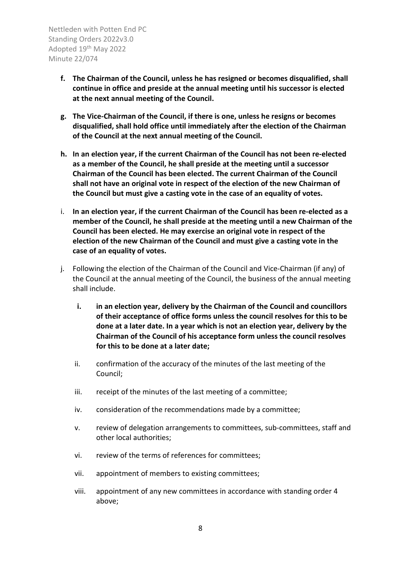- **f. The Chairman of the Council, unless he has resigned or becomes disqualified, shall continue in office and preside at the annual meeting until his successor is elected at the next annual meeting of the Council.**
- **g. The Vice-Chairman of the Council, if there is one, unless he resigns or becomes disqualified, shall hold office until immediately after the election of the Chairman of the Council at the next annual meeting of the Council.**
- **h. In an election year, if the current Chairman of the Council has not been re-elected as a member of the Council, he shall preside at the meeting until a successor Chairman of the Council has been elected. The current Chairman of the Council shall not have an original vote in respect of the election of the new Chairman of the Council but must give a casting vote in the case of an equality of votes.**
- i. **In an election year, if the current Chairman of the Council has been re-elected as a member of the Council, he shall preside at the meeting until a new Chairman of the Council has been elected. He may exercise an original vote in respect of the election of the new Chairman of the Council and must give a casting vote in the case of an equality of votes.**
- j. Following the election of the Chairman of the Council and Vice-Chairman (if any) of the Council at the annual meeting of the Council, the business of the annual meeting shall include.
	- **i. in an election year, delivery by the Chairman of the Council and councillors of their acceptance of office forms unless the council resolves for this to be done at a later date. In a year which is not an election year, delivery by the Chairman of the Council of his acceptance form unless the council resolves for this to be done at a later date;**
	- ii. confirmation of the accuracy of the minutes of the last meeting of the Council;
	- iii. receipt of the minutes of the last meeting of a committee;
	- iv. consideration of the recommendations made by a committee;
	- v. review of delegation arrangements to committees, sub-committees, staff and other local authorities;
	- vi. review of the terms of references for committees;
	- vii. appointment of members to existing committees;
	- viii. appointment of any new committees in accordance with standing order 4 above;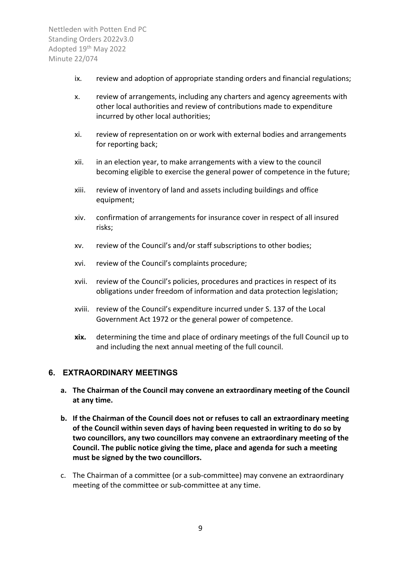- ix. review and adoption of appropriate standing orders and financial regulations;
- x. review of arrangements, including any charters and agency agreements with other local authorities and review of contributions made to expenditure incurred by other local authorities;
- xi. review of representation on or work with external bodies and arrangements for reporting back;
- xii. in an election year, to make arrangements with a view to the council becoming eligible to exercise the general power of competence in the future;
- xiii. review of inventory of land and assets including buildings and office equipment;
- xiv. confirmation of arrangements for insurance cover in respect of all insured risks;
- xv. review of the Council's and/or staff subscriptions to other bodies;
- xvi. review of the Council's complaints procedure;
- xvii. review of the Council's policies, procedures and practices in respect of its obligations under freedom of information and data protection legislation;
- xviii. review of the Council's expenditure incurred under S. 137 of the Local Government Act 1972 or the general power of competence.
- **xix.** determining the time and place of ordinary meetings of the full Council up to and including the next annual meeting of the full council.

#### <span id="page-11-0"></span>**6. EXTRAORDINARY MEETINGS**

- **a. The Chairman of the Council may convene an extraordinary meeting of the Council at any time.**
- **b. If the Chairman of the Council does not or refuses to call an extraordinary meeting of the Council within seven days of having been requested in writing to do so by two councillors, any two councillors may convene an extraordinary meeting of the Council. The public notice giving the time, place and agenda for such a meeting must be signed by the two councillors.**
- c. The Chairman of a committee (or a sub-committee) may convene an extraordinary meeting of the committee or sub-committee at any time.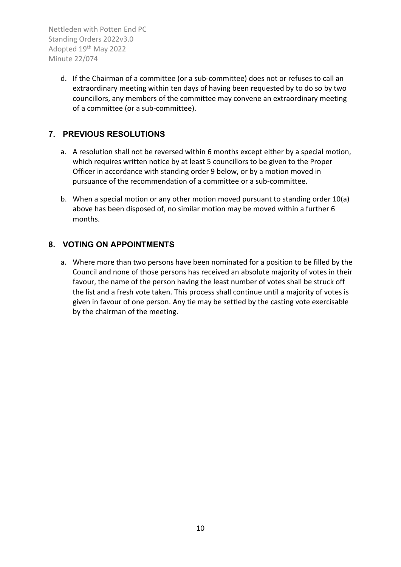> d. If the Chairman of a committee (or a sub-committee) does not or refuses to call an extraordinary meeting within ten days of having been requested by to do so by two councillors, any members of the committee may convene an extraordinary meeting of a committee (or a sub-committee).

# <span id="page-12-0"></span>**7. PREVIOUS RESOLUTIONS**

- a. A resolution shall not be reversed within 6 months except either by a special motion, which requires written notice by at least 5 councillors to be given to the Proper Officer in accordance with standing order 9 below, or by a motion moved in pursuance of the recommendation of a committee or a sub-committee.
- b. When a special motion or any other motion moved pursuant to standing order 10(a) above has been disposed of, no similar motion may be moved within a further 6 months.

## <span id="page-12-1"></span>**8. VOTING ON APPOINTMENTS**

a. Where more than two persons have been nominated for a position to be filled by the Council and none of those persons has received an absolute majority of votes in their favour, the name of the person having the least number of votes shall be struck off the list and a fresh vote taken. This process shall continue until a majority of votes is given in favour of one person. Any tie may be settled by the casting vote exercisable by the chairman of the meeting.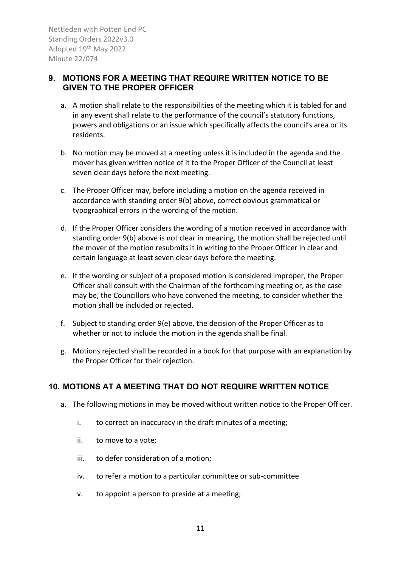#### <span id="page-13-0"></span>**9. MOTIONS FOR A MEETING THAT REQUIRE WRITTEN NOTICE TO BE GIVEN TO THE PROPER OFFICER**

- a. A motion shall relate to the responsibilities of the meeting which it is tabled for and in any event shall relate to the performance of the council's statutory functions, powers and obligations or an issue which specifically affects the council's area or its residents.
- b. No motion may be moved at a meeting unless it is included in the agenda and the mover has given written notice of it to the Proper Officer of the Council at least seven clear days before the next meeting.
- c. The Proper Officer may, before including a motion on the agenda received in accordance with standing order 9(b) above, correct obvious grammatical or typographical errors in the wording of the motion.
- d. If the Proper Officer considers the wording of a motion received in accordance with standing order 9(b) above is not clear in meaning, the motion shall be rejected until the mover of the motion resubmits it in writing to the Proper Officer in clear and certain language at least seven clear days before the meeting.
- e. If the wording or subject of a proposed motion is considered improper, the Proper Officer shall consult with the Chairman of the forthcoming meeting or, as the case may be, the Councillors who have convened the meeting, to consider whether the motion shall be included or rejected.
- f. Subject to standing order 9(e) above, the decision of the Proper Officer as to whether or not to include the motion in the agenda shall be final.
- g. Motions rejected shall be recorded in a book for that purpose with an explanation by the Proper Officer for their rejection.

## <span id="page-13-1"></span>**10. MOTIONS AT A MEETING THAT DO NOT REQUIRE WRITTEN NOTICE**

- a. The following motions in may be moved without written notice to the Proper Officer.
	- i. to correct an inaccuracy in the draft minutes of a meeting;
	- ii. to move to a vote;
	- iii. to defer consideration of a motion;
	- iv. to refer a motion to a particular committee or sub-committee
	- v. to appoint a person to preside at a meeting;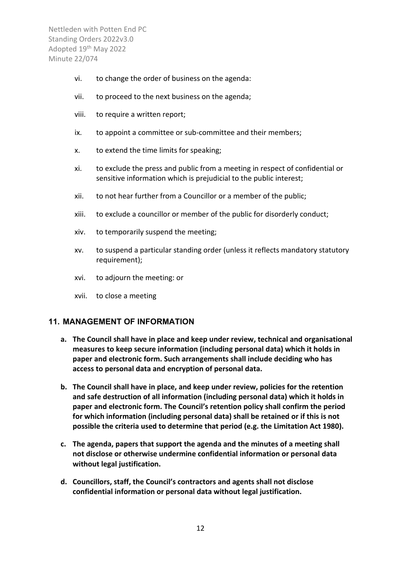- vi. to change the order of business on the agenda:
- vii. to proceed to the next business on the agenda;
- viii. to require a written report;
- ix. to appoint a committee or sub-committee and their members;
- x. to extend the time limits for speaking;
- xi. to exclude the press and public from a meeting in respect of confidential or sensitive information which is prejudicial to the public interest;
- xii. to not hear further from a Councillor or a member of the public;
- xiii. to exclude a councillor or member of the public for disorderly conduct;
- xiv. to temporarily suspend the meeting;
- xv. to suspend a particular standing order (unless it reflects mandatory statutory requirement);
- xvi. to adjourn the meeting: or
- xvii. to close a meeting

#### <span id="page-14-0"></span>**11. MANAGEMENT OF INFORMATION**

- **a. The Council shall have in place and keep under review, technical and organisational measures to keep secure information (including personal data) which it holds in paper and electronic form. Such arrangements shall include deciding who has access to personal data and encryption of personal data.**
- **b. The Council shall have in place, and keep under review, policies for the retention and safe destruction of all information (including personal data) which it holds in paper and electronic form. The Council's retention policy shall confirm the period for which information (including personal data) shall be retained or if this is not possible the criteria used to determine that period (e.g. the Limitation Act 1980).**
- **c. The agenda, papers that support the agenda and the minutes of a meeting shall not disclose or otherwise undermine confidential information or personal data without legal justification.**
- **d. Councillors, staff, the Council's contractors and agents shall not disclose confidential information or personal data without legal justification.**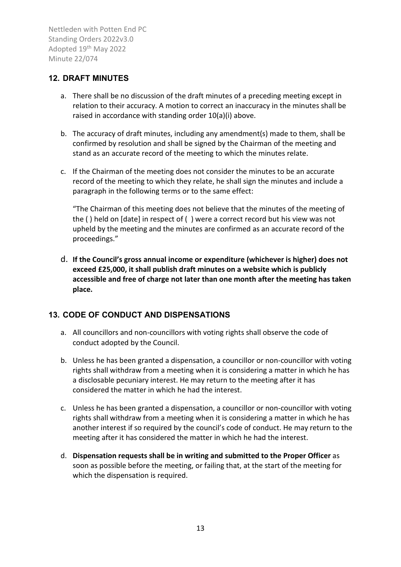#### <span id="page-15-0"></span>**12. DRAFT MINUTES**

- a. There shall be no discussion of the draft minutes of a preceding meeting except in relation to their accuracy. A motion to correct an inaccuracy in the minutes shall be raised in accordance with standing order 10(a)(i) above.
- b. The accuracy of draft minutes, including any amendment(s) made to them, shall be confirmed by resolution and shall be signed by the Chairman of the meeting and stand as an accurate record of the meeting to which the minutes relate.
- c. If the Chairman of the meeting does not consider the minutes to be an accurate record of the meeting to which they relate, he shall sign the minutes and include a paragraph in the following terms or to the same effect:

"The Chairman of this meeting does not believe that the minutes of the meeting of the ( ) held on [date] in respect of ( ) were a correct record but his view was not upheld by the meeting and the minutes are confirmed as an accurate record of the proceedings."

d. **If the Council's gross annual income or expenditure (whichever is higher) does not exceed £25,000, it shall publish draft minutes on a website which is publicly accessible and free of charge not later than one month after the meeting has taken place.**

## <span id="page-15-1"></span>**13. CODE OF CONDUCT AND DISPENSATIONS**

- a. All councillors and non-councillors with voting rights shall observe the code of conduct adopted by the Council.
- b. Unless he has been granted a dispensation, a councillor or non-councillor with voting rights shall withdraw from a meeting when it is considering a matter in which he has a disclosable pecuniary interest. He may return to the meeting after it has considered the matter in which he had the interest.
- c. Unless he has been granted a dispensation, a councillor or non-councillor with voting rights shall withdraw from a meeting when it is considering a matter in which he has another interest if so required by the council's code of conduct. He may return to the meeting after it has considered the matter in which he had the interest.
- d. **Dispensation requests shall be in writing and submitted to the Proper Officer** as soon as possible before the meeting, or failing that, at the start of the meeting for which the dispensation is required.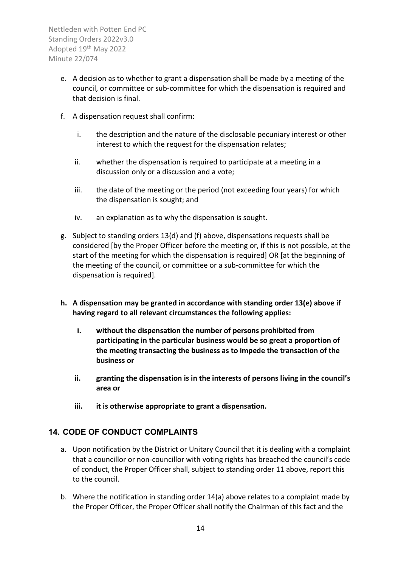- e. A decision as to whether to grant a dispensation shall be made by a meeting of the council, or committee or sub-committee for which the dispensation is required and that decision is final.
- f. A dispensation request shall confirm:
	- i. the description and the nature of the disclosable pecuniary interest or other interest to which the request for the dispensation relates;
	- ii. whether the dispensation is required to participate at a meeting in a discussion only or a discussion and a vote;
	- iii. the date of the meeting or the period (not exceeding four years) for which the dispensation is sought; and
	- iv. an explanation as to why the dispensation is sought.
- g. Subject to standing orders 13(d) and (f) above, dispensations requests shall be considered [by the Proper Officer before the meeting or, if this is not possible, at the start of the meeting for which the dispensation is required] OR [at the beginning of the meeting of the council, or committee or a sub-committee for which the dispensation is required].
- **h. A dispensation may be granted in accordance with standing order 13(e) above if having regard to all relevant circumstances the following applies:** 
	- **i. without the dispensation the number of persons prohibited from participating in the particular business would be so great a proportion of the meeting transacting the business as to impede the transaction of the business or**
	- **ii. granting the dispensation is in the interests of persons living in the council's area or**
	- **iii. it is otherwise appropriate to grant a dispensation.**

## <span id="page-16-0"></span>**14. CODE OF CONDUCT COMPLAINTS**

- a. Upon notification by the District or Unitary Council that it is dealing with a complaint that a councillor or non-councillor with voting rights has breached the council's code of conduct, the Proper Officer shall, subject to standing order 11 above, report this to the council.
- b. Where the notification in standing order 14(a) above relates to a complaint made by the Proper Officer, the Proper Officer shall notify the Chairman of this fact and the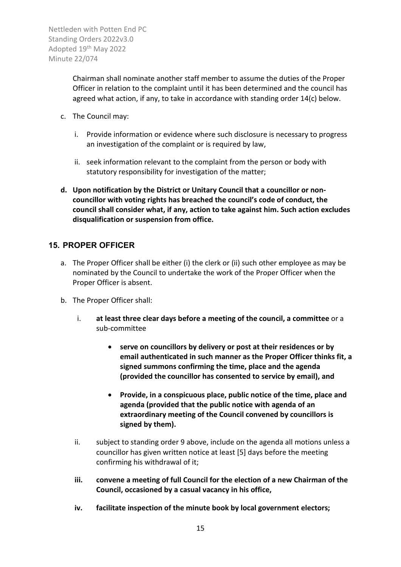> Chairman shall nominate another staff member to assume the duties of the Proper Officer in relation to the complaint until it has been determined and the council has agreed what action, if any, to take in accordance with standing order 14(c) below.

- c. The Council may:
	- i. Provide information or evidence where such disclosure is necessary to progress an investigation of the complaint or is required by law,
	- ii. seek information relevant to the complaint from the person or body with statutory responsibility for investigation of the matter;
- **d. Upon notification by the District or Unitary Council that a councillor or noncouncillor with voting rights has breached the council's code of conduct, the council shall consider what, if any, action to take against him. Such action excludes disqualification or suspension from office.**

## <span id="page-17-0"></span>**15. PROPER OFFICER**

- a. The Proper Officer shall be either (i) the clerk or (ii) such other employee as may be nominated by the Council to undertake the work of the Proper Officer when the Proper Officer is absent.
- b. The Proper Officer shall:
	- i. **at least three clear days before a meeting of the council, a committee** or a sub-committee
		- **serve on councillors by delivery or post at their residences or by email authenticated in such manner as the Proper Officer thinks fit, a signed summons confirming the time, place and the agenda (provided the councillor has consented to service by email), and**
		- **Provide, in a conspicuous place, public notice of the time, place and agenda (provided that the public notice with agenda of an extraordinary meeting of the Council convened by councillors is signed by them).**
	- ii. subject to standing order 9 above, include on the agenda all motions unless a councillor has given written notice at least [5] days before the meeting confirming his withdrawal of it;
	- **iii. convene a meeting of full Council for the election of a new Chairman of the Council, occasioned by a casual vacancy in his office,**
	- **iv. facilitate inspection of the minute book by local government electors;**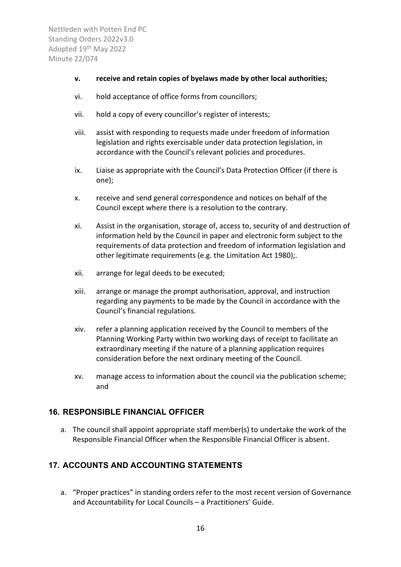- **v. receive and retain copies of byelaws made by other local authorities;**
- vi. hold acceptance of office forms from councillors;
- vii. hold a copy of every councillor's register of interests;
- viii. assist with responding to requests made under freedom of information legislation and rights exercisable under data protection legislation, in accordance with the Council's relevant policies and procedures.
- ix. Liaise as appropriate with the Council's Data Protection Officer (if there is one);
- x. receive and send general correspondence and notices on behalf of the Council except where there is a resolution to the contrary.
- xi. Assist in the organisation, storage of, access to, security of and destruction of information held by the Council in paper and electronic form subject to the requirements of data protection and freedom of information legislation and other legitimate requirements (e.g. the Limitation Act 1980);.
- xii. arrange for legal deeds to be executed;
- xiii. arrange or manage the prompt authorisation, approval, and instruction regarding any payments to be made by the Council in accordance with the Council's financial regulations.
- xiv. refer a planning application received by the Council to members of the Planning Working Party within two working days of receipt to facilitate an extraordinary meeting if the nature of a planning application requires consideration before the next ordinary meeting of the Council.
- xv. manage access to information about the council via the publication scheme; and

## <span id="page-18-0"></span>**16. RESPONSIBLE FINANCIAL OFFICER**

a. The council shall appoint appropriate staff member(s) to undertake the work of the Responsible Financial Officer when the Responsible Financial Officer is absent.

# <span id="page-18-1"></span>**17. ACCOUNTS AND ACCOUNTING STATEMENTS**

a. "Proper practices" in standing orders refer to the most recent version of Governance and Accountability for Local Councils – a Practitioners' Guide.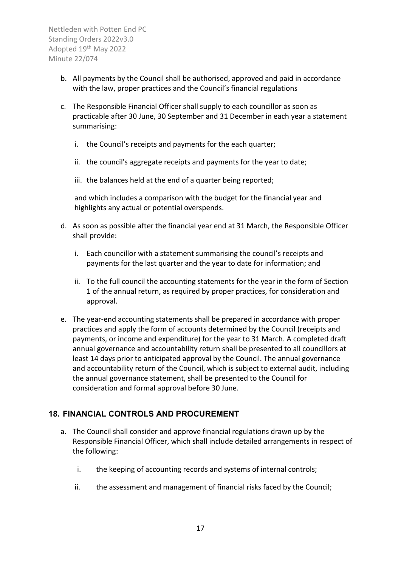- b. All payments by the Council shall be authorised, approved and paid in accordance with the law, proper practices and the Council's financial regulations
- c. The Responsible Financial Officer shall supply to each councillor as soon as practicable after 30 June, 30 September and 31 December in each year a statement summarising:
	- i. the Council's receipts and payments for the each quarter;
	- ii. the council's aggregate receipts and payments for the year to date;
	- iii. the balances held at the end of a quarter being reported;

and which includes a comparison with the budget for the financial year and highlights any actual or potential overspends.

- d. As soon as possible after the financial year end at 31 March, the Responsible Officer shall provide:
	- i. Each councillor with a statement summarising the council's receipts and payments for the last quarter and the year to date for information; and
	- ii. To the full council the accounting statements for the year in the form of Section 1 of the annual return, as required by proper practices, for consideration and approval.
- e. The year-end accounting statements shall be prepared in accordance with proper practices and apply the form of accounts determined by the Council (receipts and payments, or income and expenditure) for the year to 31 March. A completed draft annual governance and accountability return shall be presented to all councillors at least 14 days prior to anticipated approval by the Council. The annual governance and accountability return of the Council, which is subject to external audit, including the annual governance statement, shall be presented to the Council for consideration and formal approval before 30 June.

## <span id="page-19-0"></span>**18. FINANCIAL CONTROLS AND PROCUREMENT**

- a. The Council shall consider and approve financial regulations drawn up by the Responsible Financial Officer, which shall include detailed arrangements in respect of the following:
	- i. the keeping of accounting records and systems of internal controls;
	- ii. the assessment and management of financial risks faced by the Council;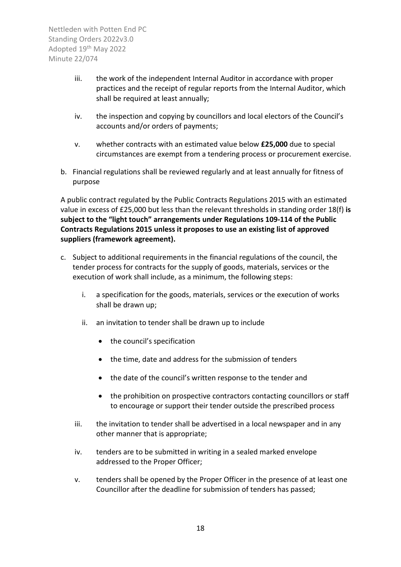- iii. the work of the independent Internal Auditor in accordance with proper practices and the receipt of regular reports from the Internal Auditor, which shall be required at least annually;
- iv. the inspection and copying by councillors and local electors of the Council's accounts and/or orders of payments;
- v. whether contracts with an estimated value below **£25,000** due to special circumstances are exempt from a tendering process or procurement exercise.
- b. Financial regulations shall be reviewed regularly and at least annually for fitness of purpose

A public contract regulated by the Public Contracts Regulations 2015 with an estimated value in excess of £25,000 but less than the relevant thresholds in standing order 18(f) **is subject to the "light touch" arrangements under Regulations 109-114 of the Public Contracts Regulations 2015 unless it proposes to use an existing list of approved suppliers (framework agreement).**

- c. Subject to additional requirements in the financial regulations of the council, the tender process for contracts for the supply of goods, materials, services or the execution of work shall include, as a minimum, the following steps:
	- i. a specification for the goods, materials, services or the execution of works shall be drawn up;
	- ii. an invitation to tender shall be drawn up to include
		- the council's specification
		- the time, date and address for the submission of tenders
		- the date of the council's written response to the tender and
		- the prohibition on prospective contractors contacting councillors or staff to encourage or support their tender outside the prescribed process
	- iii. the invitation to tender shall be advertised in a local newspaper and in any other manner that is appropriate;
	- iv. tenders are to be submitted in writing in a sealed marked envelope addressed to the Proper Officer;
	- v. tenders shall be opened by the Proper Officer in the presence of at least one Councillor after the deadline for submission of tenders has passed;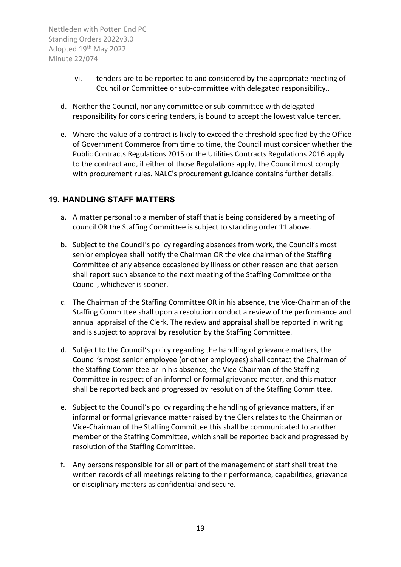- vi. tenders are to be reported to and considered by the appropriate meeting of Council or Committee or sub-committee with delegated responsibility..
- d. Neither the Council, nor any committee or sub-committee with delegated responsibility for considering tenders, is bound to accept the lowest value tender.
- e. Where the value of a contract is likely to exceed the threshold specified by the Office of Government Commerce from time to time, the Council must consider whether the Public Contracts Regulations 2015 or the Utilities Contracts Regulations 2016 apply to the contract and, if either of those Regulations apply, the Council must comply with procurement rules. NALC's procurement guidance contains further details.

#### <span id="page-21-0"></span>**19. HANDLING STAFF MATTERS**

- a. A matter personal to a member of staff that is being considered by a meeting of council OR the Staffing Committee is subject to standing order 11 above.
- b. Subject to the Council's policy regarding absences from work, the Council's most senior employee shall notify the Chairman OR the vice chairman of the Staffing Committee of any absence occasioned by illness or other reason and that person shall report such absence to the next meeting of the Staffing Committee or the Council, whichever is sooner.
- c. The Chairman of the Staffing Committee OR in his absence, the Vice-Chairman of the Staffing Committee shall upon a resolution conduct a review of the performance and annual appraisal of the Clerk. The review and appraisal shall be reported in writing and is subject to approval by resolution by the Staffing Committee.
- d. Subject to the Council's policy regarding the handling of grievance matters, the Council's most senior employee (or other employees) shall contact the Chairman of the Staffing Committee or in his absence, the Vice-Chairman of the Staffing Committee in respect of an informal or formal grievance matter, and this matter shall be reported back and progressed by resolution of the Staffing Committee.
- e. Subject to the Council's policy regarding the handling of grievance matters, if an informal or formal grievance matter raised by the Clerk relates to the Chairman or Vice-Chairman of the Staffing Committee this shall be communicated to another member of the Staffing Committee, which shall be reported back and progressed by resolution of the Staffing Committee.
- f. Any persons responsible for all or part of the management of staff shall treat the written records of all meetings relating to their performance, capabilities, grievance or disciplinary matters as confidential and secure.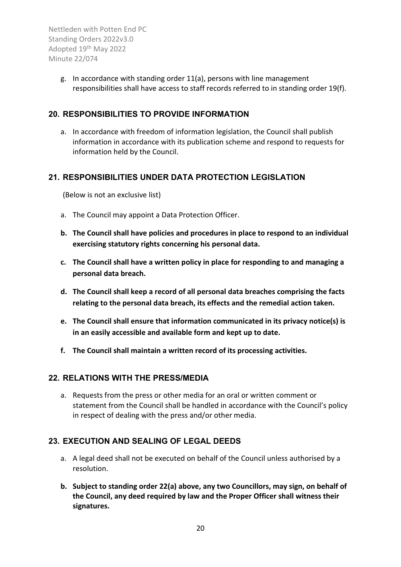> g. In accordance with standing order 11(a), persons with line management responsibilities shall have access to staff records referred to in standing order 19(f).

## <span id="page-22-0"></span>**20. RESPONSIBILITIES TO PROVIDE INFORMATION**

a. In accordance with freedom of information legislation, the Council shall publish information in accordance with its publication scheme and respond to requests for information held by the Council.

#### <span id="page-22-1"></span>**21. RESPONSIBILITIES UNDER DATA PROTECTION LEGISLATION**

(Below is not an exclusive list)

- a. The Council may appoint a Data Protection Officer.
- **b. The Council shall have policies and procedures in place to respond to an individual exercising statutory rights concerning his personal data.**
- **c. The Council shall have a written policy in place for responding to and managing a personal data breach.**
- **d. The Council shall keep a record of all personal data breaches comprising the facts relating to the personal data breach, its effects and the remedial action taken.**
- **e. The Council shall ensure that information communicated in its privacy notice(s) is in an easily accessible and available form and kept up to date.**
- **f. The Council shall maintain a written record of its processing activities.**

## <span id="page-22-2"></span>**22. RELATIONS WITH THE PRESS/MEDIA**

a. Requests from the press or other media for an oral or written comment or statement from the Council shall be handled in accordance with the Council's policy in respect of dealing with the press and/or other media.

## <span id="page-22-3"></span>**23. EXECUTION AND SEALING OF LEGAL DEEDS**

- a. A legal deed shall not be executed on behalf of the Council unless authorised by a resolution.
- **b. Subject to standing order 22(a) above, any two Councillors, may sign, on behalf of the Council, any deed required by law and the Proper Officer shall witness their signatures.**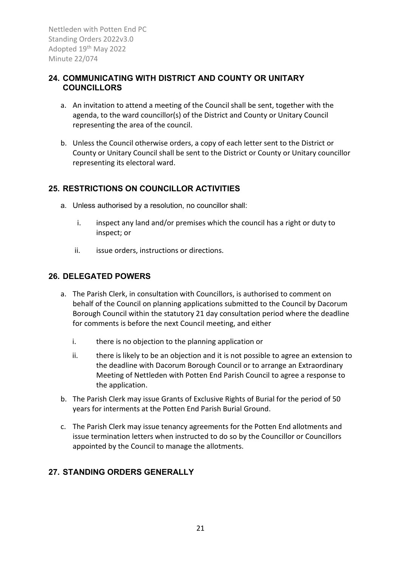## <span id="page-23-0"></span>**24. COMMUNICATING WITH DISTRICT AND COUNTY OR UNITARY COUNCILLORS**

- a. An invitation to attend a meeting of the Council shall be sent, together with the agenda, to the ward councillor(s) of the District and County or Unitary Council representing the area of the council.
- b. Unless the Council otherwise orders, a copy of each letter sent to the District or County or Unitary Council shall be sent to the District or County or Unitary councillor representing its electoral ward.

## <span id="page-23-1"></span>**25. RESTRICTIONS ON COUNCILLOR ACTIVITIES**

- a. Unless authorised by a resolution, no councillor shall:
	- i. inspect any land and/or premises which the council has a right or duty to inspect; or
	- ii. issue orders, instructions or directions.

#### <span id="page-23-2"></span>**26. DELEGATED POWERS**

- a. The Parish Clerk, in consultation with Councillors, is authorised to comment on behalf of the Council on planning applications submitted to the Council by Dacorum Borough Council within the statutory 21 day consultation period where the deadline for comments is before the next Council meeting, and either
	- i. there is no objection to the planning application or
	- ii. there is likely to be an objection and it is not possible to agree an extension to the deadline with Dacorum Borough Council or to arrange an Extraordinary Meeting of Nettleden with Potten End Parish Council to agree a response to the application.
- b. The Parish Clerk may issue Grants of Exclusive Rights of Burial for the period of 50 years for interments at the Potten End Parish Burial Ground.
- c. The Parish Clerk may issue tenancy agreements for the Potten End allotments and issue termination letters when instructed to do so by the Councillor or Councillors appointed by the Council to manage the allotments.

# <span id="page-23-3"></span>**27. STANDING ORDERS GENERALLY**